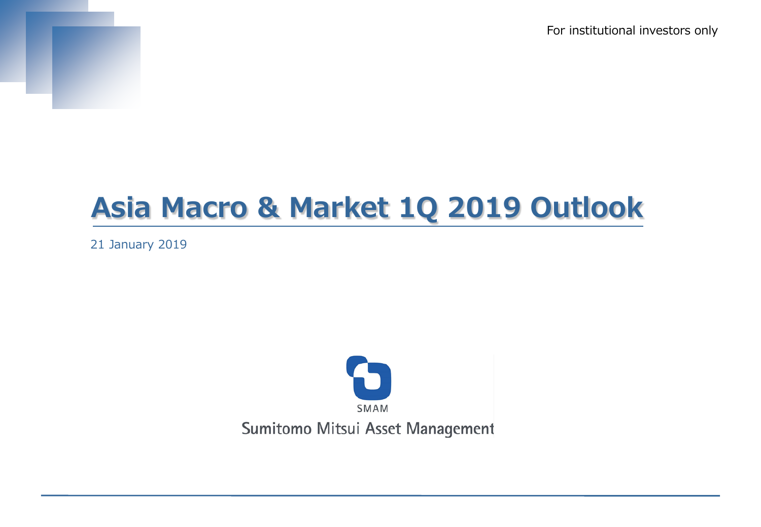For institutional investors only



# **Asia Macro & Market 1Q 2019 Outlook**

21 January 2019

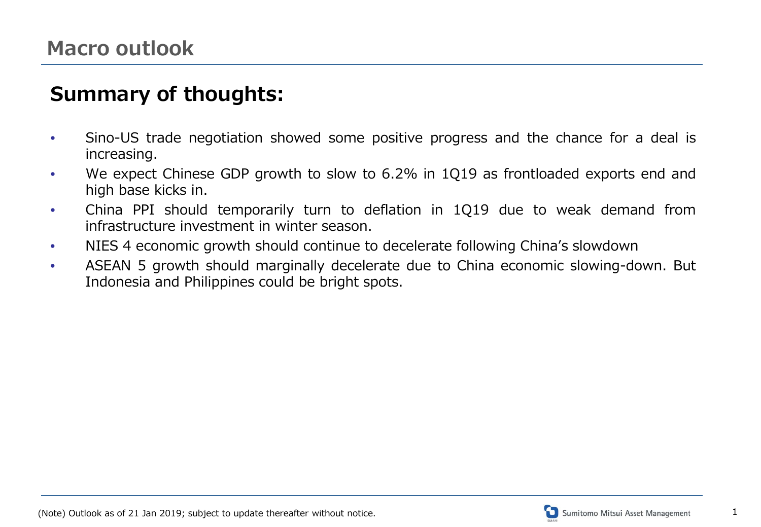### **Summary of thoughts:**

- Sino-US trade negotiation showed some positive progress and the chance for a deal is increasing.
- We expect Chinese GDP growth to slow to 6.2% in 1Q19 as frontloaded exports end and high base kicks in.
- China PPI should temporarily turn to deflation in 1Q19 due to weak demand from infrastructure investment in winter season.
- NIES 4 economic growth should continue to decelerate following China's slowdown
- ASEAN 5 growth should marginally decelerate due to China economic slowing-down. But Indonesia and Philippines could be bright spots.

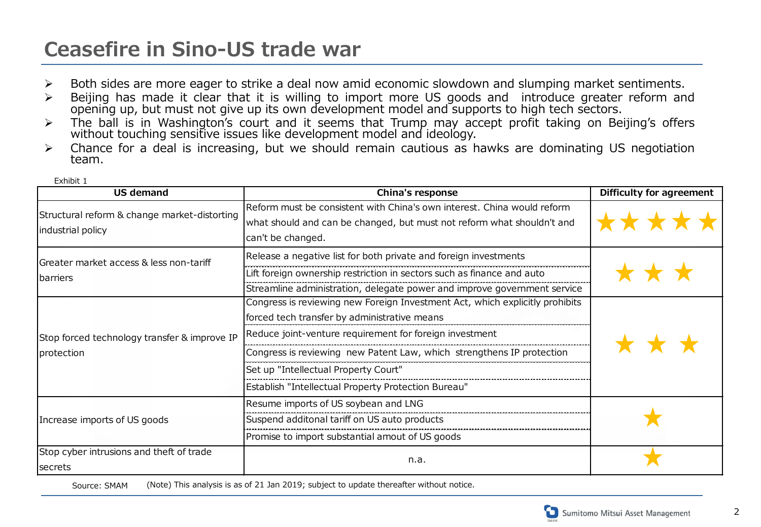### **Ceasefire in Sino-US trade war**

Exhibit 1

- Both sides are more eager to strike a deal now amid economic slowdown and slumping market sentiments.
- Beijing has made it clear that it is willing to import more US goods and introduce greater reform and opening up, but must not give up its own development model and supports to high tech sectors.
- > The ball is in Washington's court and it seems that Trump may accept profit taking on Beijing's offers without touching sensitive issues like development model and ideology.
- Chance for a deal is increasing, but we should remain cautious as hawks are dominating US negotiation team.

| <b>US demand</b>                                                  | China's response                                                                                                                                                                                                                                                                                                                                                | Difficulty for agreement |
|-------------------------------------------------------------------|-----------------------------------------------------------------------------------------------------------------------------------------------------------------------------------------------------------------------------------------------------------------------------------------------------------------------------------------------------------------|--------------------------|
| Structural reform & change market-distorting<br>industrial policy | Reform must be consistent with China's own interest. China would reform<br>what should and can be changed, but must not reform what shouldn't and<br>can't be changed.                                                                                                                                                                                          |                          |
| Greater market access & less non-tariff<br><b>I</b> barriers      | Release a negative list for both private and foreign investments<br>Lift foreign ownership restriction in sectors such as finance and auto<br>Streamline administration, delegate power and improve government service                                                                                                                                          |                          |
| Stop forced technology transfer & improve IP<br>protection        | Congress is reviewing new Foreign Investment Act, which explicitly prohibits<br>forced tech transfer by administrative means<br>Reduce joint-venture requirement for foreign investment<br>Congress is reviewing new Patent Law, which strengthens IP protection<br>Set up "Intellectual Property Court"<br>Establish "Intellectual Property Protection Bureau" |                          |
| Increase imports of US goods                                      | Resume imports of US soybean and LNG<br>Suspend additonal tariff on US auto products<br>Promise to import substantial amout of US goods                                                                                                                                                                                                                         |                          |
| Stop cyber intrusions and theft of trade<br>secrets               | n.a.                                                                                                                                                                                                                                                                                                                                                            |                          |

Source: SMAM (Note) This analysis is as of 21 Jan 2019; subject to update thereafter without notice.

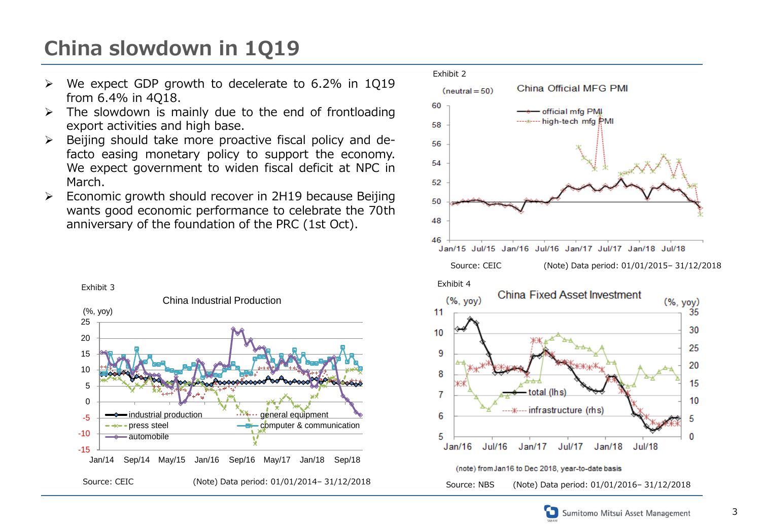## **China slowdown in 1Q19**

- $\triangleright$  We expect GDP growth to decelerate to 6.2% in 1Q19 from 6.4% in 4Q18.
- $\triangleright$  The slowdown is mainly due to the end of frontloading export activities and high base.
- $\triangleright$  Beijing should take more proactive fiscal policy and defacto easing monetary policy to support the economy. We expect government to widen fiscal deficit at NPC in March.
- $\triangleright$  Economic growth should recover in 2H19 because Beijing wants good economic performance to celebrate the 70th anniversary of the foundation of the PRC (1st Oct).





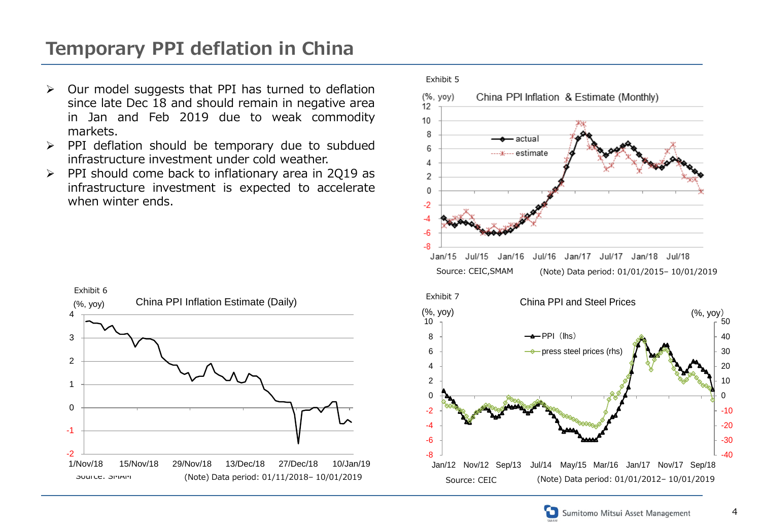### **Temporary PPI deflation in China**

- $\triangleright$  Our model suggests that PPI has turned to deflation since late Dec 18 and should remain in negative area in Jan and Feb 2019 due to weak commodity markets.
- $\triangleright$  PPI deflation should be temporary due to subdued infrastructure investment under cold weather.
- $\triangleright$  PPI should come back to inflationary area in 2Q19 as infrastructure investment is expected to accelerate when winter ends.



#### Exhibit 5  $(%$ , yoy $)$ China PPI Inflation & Estimate (Monthly) 12 10 8 · actua 6 ----ж---- estimate 4  $\overline{2}$  $\mathbf{0}$  $-2$ -4  $-6$  $-8$ Jan/15 Jul/15  $Jan/16$ Jul/16 Jan/17 Jul/17 Jan/18 Jul/18 Source: CEIC,SMAM (Note) Data period: 01/01/2015– 10/01/2019 Exhibit 7China PPI and Steel Prices (%, yoy) (%, yoy) 50 10  $\rightarrow$ PPI $(\mathsf{Ins})$ 8 40 6  $\rightarrow$  press steel prices (rhs) 30 20 4 2 10  $\Omega$ 0



Jan/12 Nov/12 Sep/13 Jul/14 May/15 Mar/16 Jan/17 Nov/17 Sep/18

-8 -6 -4 -2

(Note) Data period: 01/01/2012- 10/01/2019

-40 -30 -20 -10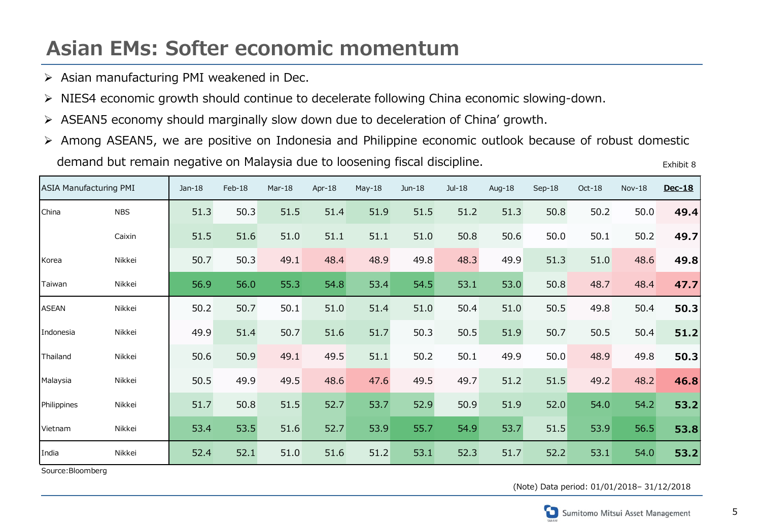### **Asian EMs: Softer economic momentum**

- $\triangleright$  Asian manufacturing PMI weakened in Dec.
- NIES4 economic growth should continue to decelerate following China economic slowing-down.
- ASEAN5 economy should marginally slow down due to deceleration of China' growth.
- Among ASEAN5, we are positive on Indonesia and Philippine economic outlook because of robust domestic demand but remain negative on Malaysia due to loosening fiscal discipline. Exhibit 8

| <b>ASIA Manufacturing PMI</b> |            | $Jan-18$ | Feb-18 | Mar-18 | Apr-18 | $May-18$ | Jun-18 | Jul-18 | Aug-18 | Sep-18 | Oct-18 | $Nov-18$ | Dec-18 |
|-------------------------------|------------|----------|--------|--------|--------|----------|--------|--------|--------|--------|--------|----------|--------|
| China                         | <b>NBS</b> | 51.3     | 50.3   | 51.5   | 51.4   | 51.9     | 51.5   | 51.2   | 51.3   | 50.8   | 50.2   | 50.0     | 49.4   |
|                               | Caixin     | 51.5     | 51.6   | 51.0   | 51.1   | 51.1     | 51.0   | 50.8   | 50.6   | 50.0   | 50.1   | 50.2     | 49.7   |
| Korea                         | Nikkei     | 50.7     | 50.3   | 49.1   | 48.4   | 48.9     | 49.8   | 48.3   | 49.9   | 51.3   | 51.0   | 48.6     | 49.8   |
| Taiwan                        | Nikkei     | 56.9     | 56.0   | 55.3   | 54.8   | 53.4     | 54.5   | 53.1   | 53.0   | 50.8   | 48.7   | 48.4     | 47.7   |
| <b>ASEAN</b>                  | Nikkei     | 50.2     | 50.7   | 50.1   | 51.0   | 51.4     | 51.0   | 50.4   | 51.0   | 50.5   | 49.8   | 50.4     | 50.3   |
| Indonesia                     | Nikkei     | 49.9     | 51.4   | 50.7   | 51.6   | 51.7     | 50.3   | 50.5   | 51.9   | 50.7   | 50.5   | 50.4     | 51.2   |
| Thailand                      | Nikkei     | 50.6     | 50.9   | 49.1   | 49.5   | 51.1     | 50.2   | 50.1   | 49.9   | 50.0   | 48.9   | 49.8     | 50.3   |
| Malaysia                      | Nikkei     | 50.5     | 49.9   | 49.5   | 48.6   | 47.6     | 49.5   | 49.7   | 51.2   | 51.5   | 49.2   | 48.2     | 46.8   |
| Philippines                   | Nikkei     | 51.7     | 50.8   | 51.5   | 52.7   | 53.7     | 52.9   | 50.9   | 51.9   | 52.0   | 54.0   | 54.2     | 53.2   |
| Vietnam                       | Nikkei     | 53.4     | 53.5   | 51.6   | 52.7   | 53.9     | 55.7   | 54.9   | 53.7   | 51.5   | 53.9   | 56.5     | 53.8   |
| India                         | Nikkei     | 52.4     | 52.1   | 51.0   | 51.6   | 51.2     | 53.1   | 52.3   | 51.7   | 52.2   | 53.1   | 54.0     | 53.2   |

Source:Bloomberg

(Note) Data period: 01/01/2018– 31/12/2018

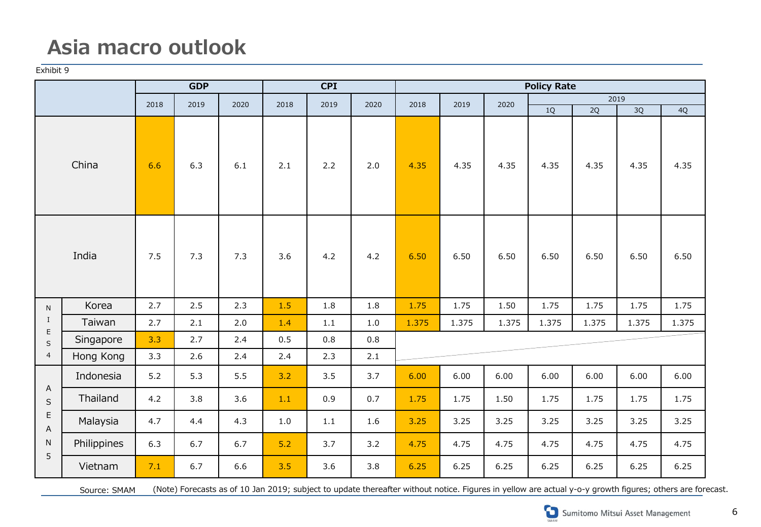### **Asia macro outlook**

Exhibit 9

|                                       |             |              | <b>GDP</b> |      | CPI  |         |         | <b>Policy Rate</b> |       |       |            |                 |       |       |  |
|---------------------------------------|-------------|--------------|------------|------|------|---------|---------|--------------------|-------|-------|------------|-----------------|-------|-------|--|
|                                       |             | 2018<br>2019 |            | 2020 | 2018 | 2019    | 2020    | 2018               | 2019  | 2020  | 2019       |                 |       |       |  |
|                                       |             |              |            |      |      |         |         |                    |       |       | $1{\rm Q}$ | $\overline{2Q}$ | 3Q    | 4Q    |  |
| China                                 |             | 6.6          | 6.3        | 6.1  | 2.1  | 2.2     | 2.0     | 4.35               | 4.35  | 4.35  | 4.35       | 4.35            | 4.35  | 4.35  |  |
| India                                 |             | 7.5          | 7.3        | 7.3  | 3.6  | 4.2     | 4.2     | 6.50               | 6.50  | 6.50  | 6.50       | 6.50            | 6.50  | 6.50  |  |
| ${\sf N}$                             | Korea       | 2.7          | 2.5        | 2.3  | 1.5  | 1.8     | $1.8\,$ | 1.75               | 1.75  | 1.50  | 1.75       | 1.75            | 1.75  | 1.75  |  |
| $\bf{I}$                              | Taiwan      | 2.7          | 2.1        | 2.0  | 1.4  | $1.1\,$ | $1.0\,$ | 1.375              | 1.375 | 1.375 | 1.375      | 1.375           | 1.375 | 1.375 |  |
| $\mathsf E$<br>S                      | Singapore   | 3.3          | 2.7        | 2.4  | 0.5  | 0.8     | 0.8     |                    |       |       |            |                 |       |       |  |
| $\overline{4}$                        | Hong Kong   | 3.3          | 2.6        | 2.4  | 2.4  | 2.3     | 2.1     |                    |       |       |            |                 |       |       |  |
|                                       | Indonesia   | 5.2          | 5.3        | 5.5  | 3.2  | 3.5     | 3.7     | 6.00               | 6.00  | 6.00  | 6.00       | 6.00            | 6.00  | 6.00  |  |
| A<br>$\sf S$<br>$\mathsf E$<br>A<br>N | Thailand    | 4.2          | 3.8        | 3.6  | 1.1  | 0.9     | 0.7     | 1.75               | 1.75  | 1.50  | 1.75       | 1.75            | 1.75  | 1.75  |  |
|                                       | Malaysia    | 4.7          | 4.4        | 4.3  | 1.0  | 1.1     | 1.6     | 3.25               | 3.25  | 3.25  | 3.25       | 3.25            | 3.25  | 3.25  |  |
|                                       | Philippines | 6.3          | 6.7        | 6.7  | 5.2  | 3.7     | 3.2     | 4.75               | 4.75  | 4.75  | 4.75       | 4.75            | 4.75  | 4.75  |  |
| 5                                     | Vietnam     | 7.1          | 6.7        | 6.6  | 3.5  | 3.6     | 3.8     | 6.25               | 6.25  | 6.25  | 6.25       | 6.25            | 6.25  | 6.25  |  |

Source: SMAM (Note) Forecasts as of 10 Jan 2019; subject to update thereafter without notice. Figures in yellow are actual y-o-y growth figures; others are forecast.

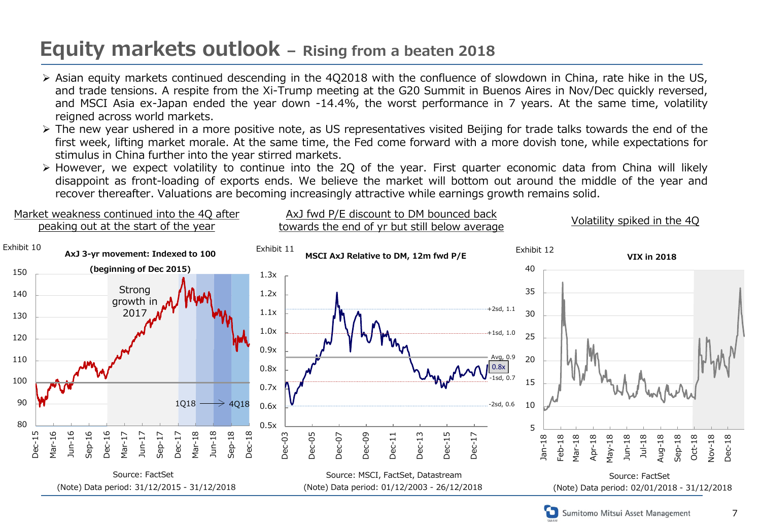### **Equity markets outlook – Rising from a beaten 2018**

Market weakness continued into the 4Q after

- $\triangleright$  Asian equity markets continued descending in the 4Q2018 with the confluence of slowdown in China, rate hike in the US, and trade tensions. A respite from the Xi-Trump meeting at the G20 Summit in Buenos Aires in Nov/Dec quickly reversed, and MSCI Asia ex-Japan ended the year down -14.4%, the worst performance in 7 years. At the same time, volatility reigned across world markets.
- $\triangleright$  The new year ushered in a more positive note, as US representatives visited Beijing for trade talks towards the end of the first week, lifting market morale. At the same time, the Fed come forward with a more dovish tone, while expectations for stimulus in China further into the year stirred markets.
- $\triangleright$  However, we expect volatility to continue into the 2Q of the year. First quarter economic data from China will likely disappoint as front-loading of exports ends. We believe the market will bottom out around the middle of the year and recover thereafter. Valuations are becoming increasingly attractive while earnings growth remains solid.

AxJ fwd P/E discount to DM bounced back

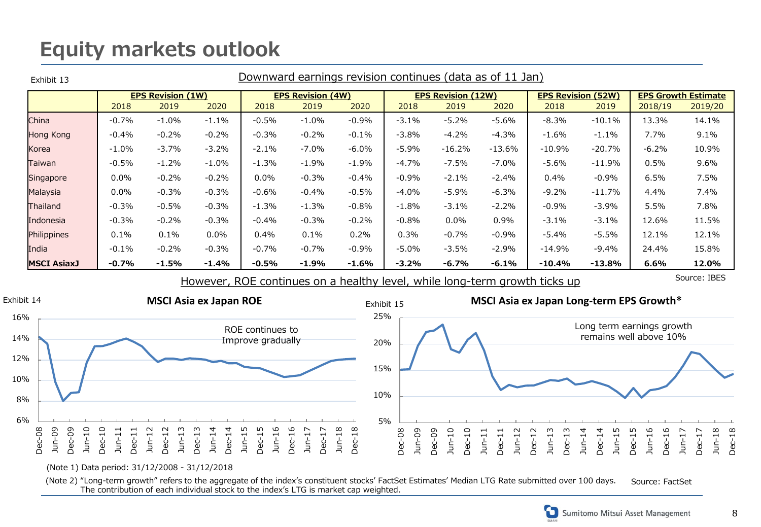### **Equity markets outlook**

| Exhibit 13         | Downward earnings revision continues (data as of 11 Jan) |          |         |                          |         |         |                           |          |          |                           |          |                            |         |
|--------------------|----------------------------------------------------------|----------|---------|--------------------------|---------|---------|---------------------------|----------|----------|---------------------------|----------|----------------------------|---------|
|                    | <b>EPS Revision (1W)</b>                                 |          |         | <b>EPS Revision (4W)</b> |         |         | <b>EPS Revision (12W)</b> |          |          | <b>EPS Revision (52W)</b> |          | <b>EPS Growth Estimate</b> |         |
|                    | 2018                                                     | 2019     | 2020    | 2018                     | 2019    | 2020    | 2018                      | 2019     | 2020     | 2018                      | 2019     | 2018/19                    | 2019/20 |
| China              | $-0.7%$                                                  | $-1.0\%$ | $-1.1%$ | $-0.5%$                  | $-1.0%$ | $-0.9%$ | $-3.1%$                   | $-5.2%$  | $-5.6%$  | $-8.3\%$                  | $-10.1%$ | 13.3%                      | 14.1%   |
| Hong Kong          | $-0.4%$                                                  | $-0.2%$  | $-0.2%$ | $-0.3%$                  | $-0.2%$ | $-0.1%$ | $-3.8%$                   | $-4.2%$  | $-4.3%$  | $-1.6\%$                  | $-1.1%$  | 7.7%                       | 9.1%    |
| Korea              | $-1.0\%$                                                 | $-3.7%$  | $-3.2%$ | $-2.1%$                  | $-7.0%$ | $-6.0%$ | $-5.9%$                   | $-16.2%$ | $-13.6%$ | $-10.9%$                  | $-20.7%$ | $-6.2%$                    | 10.9%   |
| Taiwan             | $-0.5%$                                                  | $-1.2%$  | $-1.0%$ | $-1.3%$                  | $-1.9%$ | $-1.9%$ | $-4.7%$                   | $-7.5%$  | $-7.0%$  | -5.6%                     | $-11.9%$ | 0.5%                       | 9.6%    |
| Singapore          | $0.0\%$                                                  | $-0.2%$  | $-0.2%$ | $0.0\%$                  | $-0.3%$ | $-0.4%$ | $-0.9%$                   | $-2.1%$  | $-2.4%$  | 0.4%                      | $-0.9%$  | 6.5%                       | 7.5%    |
| Malaysia           | $0.0\%$                                                  | $-0.3%$  | $-0.3%$ | $-0.6%$                  | $-0.4%$ | $-0.5%$ | $-4.0%$                   | $-5.9%$  | $-6.3%$  | $-9.2%$                   | $-11.7%$ | 4.4%                       | 7.4%    |
| Thailand           | $-0.3%$                                                  | $-0.5%$  | $-0.3%$ | $-1.3%$                  | $-1.3%$ | $-0.8%$ | $-1.8%$                   | $-3.1%$  | $-2.2%$  | $-0.9\%$                  | $-3.9%$  | 5.5%                       | 7.8%    |
| Indonesia          | $-0.3%$                                                  | $-0.2%$  | $-0.3%$ | $-0.4%$                  | $-0.3%$ | $-0.2%$ | $-0.8%$                   | $0.0\%$  | 0.9%     | $-3.1\%$                  | $-3.1%$  | 12.6%                      | 11.5%   |
| Philippines        | 0.1%                                                     | 0.1%     | $0.0\%$ | 0.4%                     | 0.1%    | 0.2%    | 0.3%                      | $-0.7%$  | $-0.9%$  | -5.4%                     | $-5.5%$  | 12.1%                      | 12.1%   |
| India              | $-0.1\%$                                                 | $-0.2%$  | $-0.3%$ | $-0.7%$                  | $-0.7%$ | $-0.9%$ | $-5.0\%$                  | $-3.5%$  | $-2.9%$  | $-14.9\%$                 | $-9.4%$  | 24.4%                      | 15.8%   |
| <b>MSCI AsiaxJ</b> | $-0.7%$                                                  | $-1.5%$  | $-1.4%$ | $-0.5%$                  | -1.9%   | $-1.6%$ | $-3.2%$                   | -6.7%    | $-6.1\%$ | $-10.4%$                  | $-13.8%$ | 6.6%                       | 12.0%   |

However, ROE continues on a healthy level, while long-term growth ticks up

Source: IBES



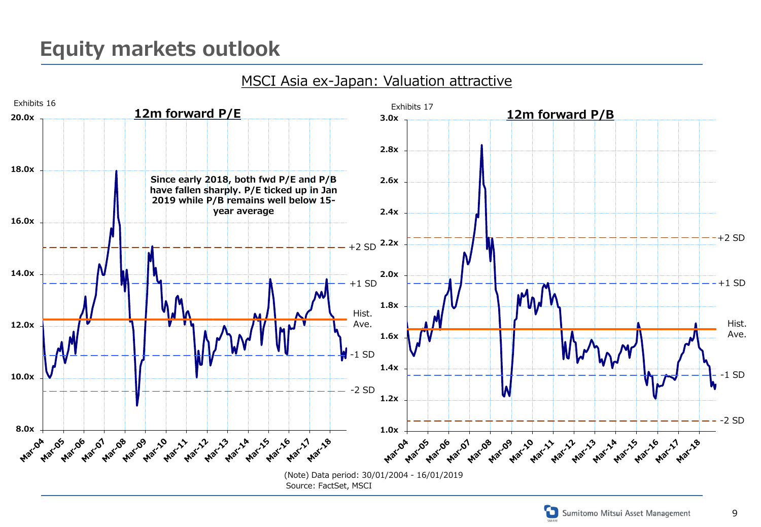### MSCI Asia ex-Japan: Valuation attractive





9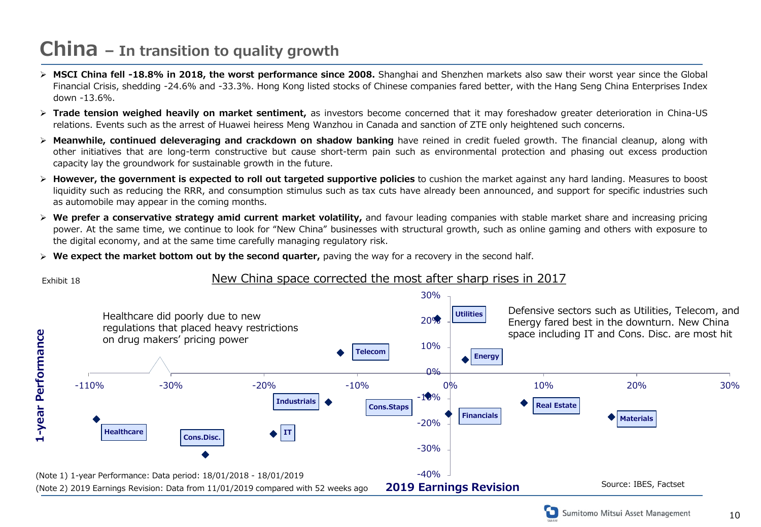### **China – In transition to quality growth**

- **MSCI China fell -18.8% in 2018, the worst performance since 2008.** Shanghai and Shenzhen markets also saw their worst year since the Global Financial Crisis, shedding -24.6% and -33.3%. Hong Kong listed stocks of Chinese companies fared better, with the Hang Seng China Enterprises Index down -13.6%.
- **Trade tension weighed heavily on market sentiment,** as investors become concerned that it may foreshadow greater deterioration in China-US relations. Events such as the arrest of Huawei heiress Meng Wanzhou in Canada and sanction of ZTE only heightened such concerns.
- **Meanwhile, continued deleveraging and crackdown on shadow banking** have reined in credit fueled growth. The financial cleanup, along with other initiatives that are long-term constructive but cause short-term pain such as environmental protection and phasing out excess production capacity lay the groundwork for sustainable growth in the future.
- **However, the government is expected to roll out targeted supportive policies** to cushion the market against any hard landing. Measures to boost liquidity such as reducing the RRR, and consumption stimulus such as tax cuts have already been announced, and support for specific industries such as automobile may appear in the coming months.
- **We prefer a conservative strategy amid current market volatility,** and favour leading companies with stable market share and increasing pricing power. At the same time, we continue to look for "New China" businesses with structural growth, such as online gaming and others with exposure to the digital economy, and at the same time carefully managing regulatory risk.
- **We expect the market bottom out by the second quarter,** paving the way for a recovery in the second half.



#### Exhibit 18 New China space corrected the most after sharp rises in 2017

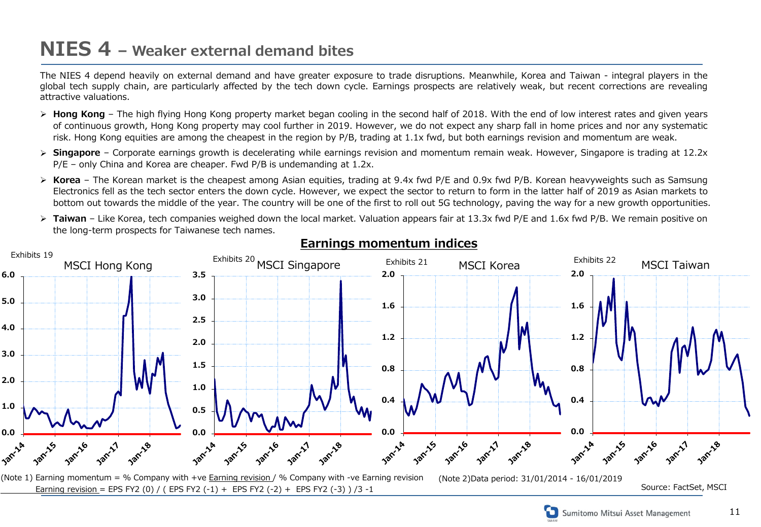### **NIES 4 – Weaker external demand bites**

The NIES 4 depend heavily on external demand and have greater exposure to trade disruptions. Meanwhile, Korea and Taiwan - integral players in the global tech supply chain, are particularly affected by the tech down cycle. Earnings prospects are relatively weak, but recent corrections are revealing attractive valuations.

- > **Hong Kong** The high flying Hong Kong property market began cooling in the second half of 2018. With the end of low interest rates and given years of continuous growth, Hong Kong property may cool further in 2019. However, we do not expect any sharp fall in home prices and nor any systematic risk. Hong Kong equities are among the cheapest in the region by P/B, trading at 1.1x fwd, but both earnings revision and momentum are weak.
- **Singapore** Corporate earnings growth is decelerating while earnings revision and momentum remain weak. However, Singapore is trading at 12.2x P/E – only China and Korea are cheaper. Fwd P/B is undemanding at 1.2x.
- **Korea** The Korean market is the cheapest among Asian equities, trading at 9.4x fwd P/E and 0.9x fwd P/B. Korean heavyweights such as Samsung Electronics fell as the tech sector enters the down cycle. However, we expect the sector to return to form in the latter half of 2019 as Asian markets to bottom out towards the middle of the year. The country will be one of the first to roll out 5G technology, paving the way for a new growth opportunities.
- **► Taiwan** Like Korea, tech companies weighed down the local market. Valuation appears fair at 13.3x fwd P/E and 1.6x fwd P/B. We remain positive on the long-term prospects for Taiwanese tech names.



#### **Earnings momentum indices**

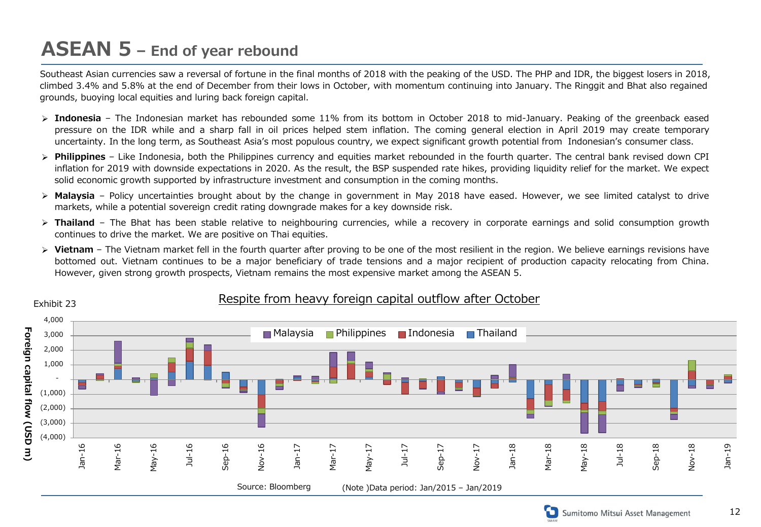### **ASEAN 5 – End of year rebound**

Southeast Asian currencies saw a reversal of fortune in the final months of 2018 with the peaking of the USD. The PHP and IDR, the biggest losers in 2018, climbed 3.4% and 5.8% at the end of December from their lows in October, with momentum continuing into January. The Ringgit and Bhat also regained grounds, buoying local equities and luring back foreign capital.

- > Indonesia The Indonesian market has rebounded some 11% from its bottom in October 2018 to mid-January. Peaking of the greenback eased pressure on the IDR while and a sharp fall in oil prices helped stem inflation. The coming general election in April 2019 may create temporary uncertainty. In the long term, as Southeast Asia's most populous country, we expect significant growth potential from Indonesian's consumer class.
- **Philippines** Like Indonesia, both the Philippines currency and equities market rebounded in the fourth quarter. The central bank revised down CPI inflation for 2019 with downside expectations in 2020. As the result, the BSP suspended rate hikes, providing liquidity relief for the market. We expect solid economic growth supported by infrastructure investment and consumption in the coming months.
- **Malaysia** Policy uncertainties brought about by the change in government in May 2018 have eased. However, we see limited catalyst to drive markets, while a potential sovereign credit rating downgrade makes for a key downside risk.
- **Exter Thailand** The Bhat has been stable relative to neighbouring currencies, while a recovery in corporate earnings and solid consumption growth continues to drive the market. We are positive on Thai equities.
- **EX** Vietnam The Vietnam market fell in the fourth quarter after proving to be one of the most resilient in the region. We believe earnings revisions have bottomed out. Vietnam continues to be a major beneficiary of trade tensions and a major recipient of production capacity relocating from China. However, given strong growth prospects, Vietnam remains the most expensive market among the ASEAN 5.



#### Exhibit 23 Exhibit 23

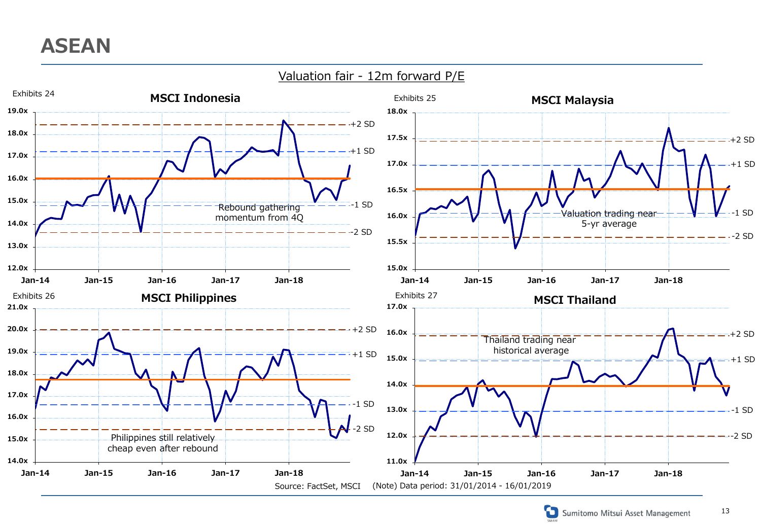

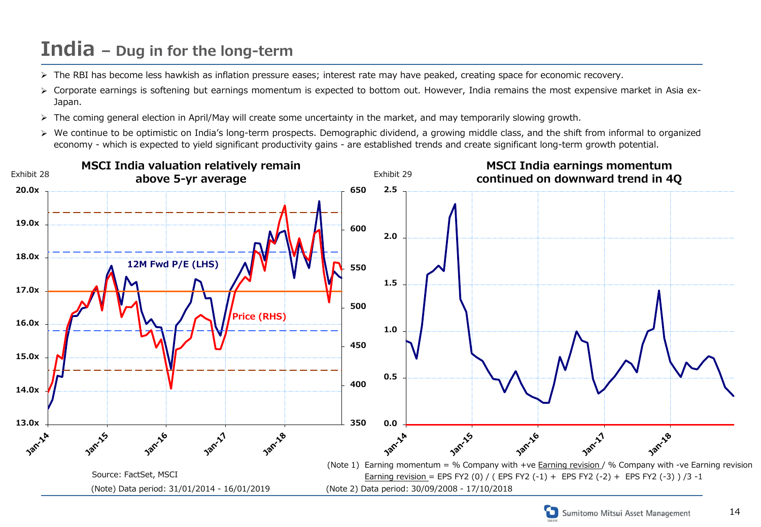### **India – Dug in for the long-term**

- > The RBI has become less hawkish as inflation pressure eases; interest rate may have peaked, creating space for economic recovery.
- > Corporate earnings is softening but earnings momentum is expected to bottom out. However, India remains the most expensive market in Asia ex-Japan.
- > The coming general election in April/May will create some uncertainty in the market, and may temporarily slowing growth.
- ▶ We continue to be optimistic on India's long-term prospects. Demographic dividend, a growing middle class, and the shift from informal to organized economy - which is expected to yield significant productivity gains - are established trends and create significant long-term growth potential.





14